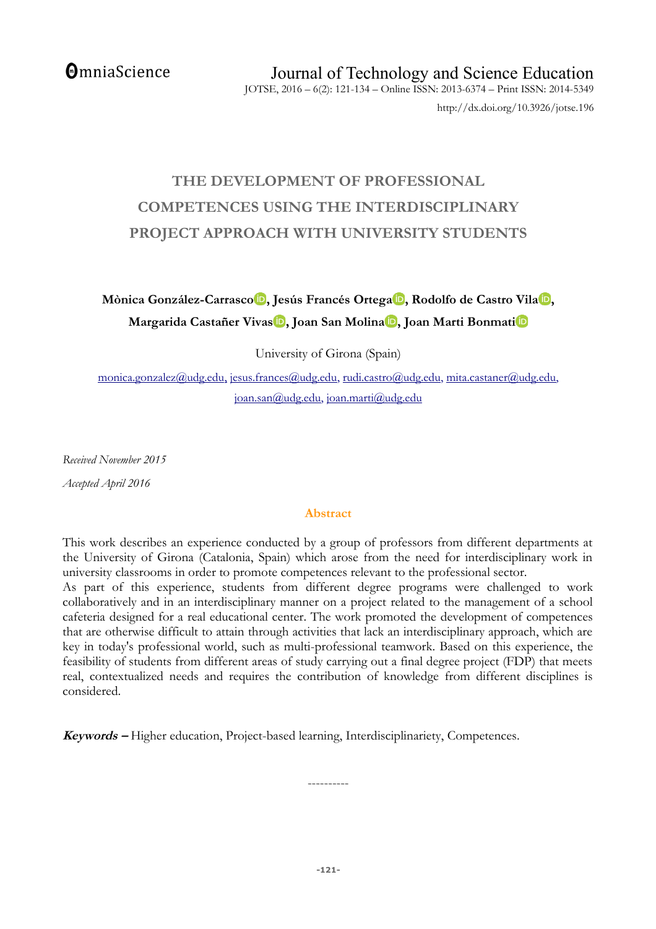**OmniaScience** 

## **THE DEVELOPMENT OF PROFESSIONAL COMPETENCES USING THE INTERDISCIPLINARY PROJECT APPROACH WITH UNIVERSITY STUDENTS**

**Mònica González-Carrasco [,](http://orcid.org/0000-0003-3677-8175) Jesús Francés Orteg[a](http://orcid.org/0000-0001-8481-7621) , Rodolfo de Castro Vil[a](http://orcid.org/0000-0002-8099-8493) , Margarida Castañer Vivas [,](http://orcid.org/0000-0001-6142-2723) Joan San Molin[a](http://orcid.org/0000-0002-9821-2735) , Joan Marti Bonmat[i](http://orcid.org/0000-0002-5077-5635)**

University of Girona (Spain)

 [monica.gonzalez@udg.edu,](mailto:monica.gonzalez@udg.edu) [jesus.frances@udg.edu,](mailto:jesus.frances@udg.edu) [rudi.castro@udg.edu,](mailto:rudi.castro@udg.edu) [mita.castaner@udg.edu,](mailto:mita.castaner@udg.edu) [joan.san@udg.edu,](mailto:joan.san@udg.edu) [joan.marti@udg.edu](mailto:joan.marti@udg.edu)

*Received November 2015 Accepted April 2016*

**Abstract**

This work describes an experience conducted by a group of professors from different departments at the University of Girona (Catalonia, Spain) which arose from the need for interdisciplinary work in university classrooms in order to promote competences relevant to the professional sector.

As part of this experience, students from different degree programs were challenged to work collaboratively and in an interdisciplinary manner on a project related to the management of a school cafeteria designed for a real educational center. The work promoted the development of competences that are otherwise difficult to attain through activities that lack an interdisciplinary approach, which are key in today's professional world, such as multi-professional teamwork. Based on this experience, the feasibility of students from different areas of study carrying out a final degree project (FDP) that meets real, contextualized needs and requires the contribution of knowledge from different disciplines is considered.

**Keywords –** Higher education, Project-based learning, Interdisciplinariety, Competences.

----------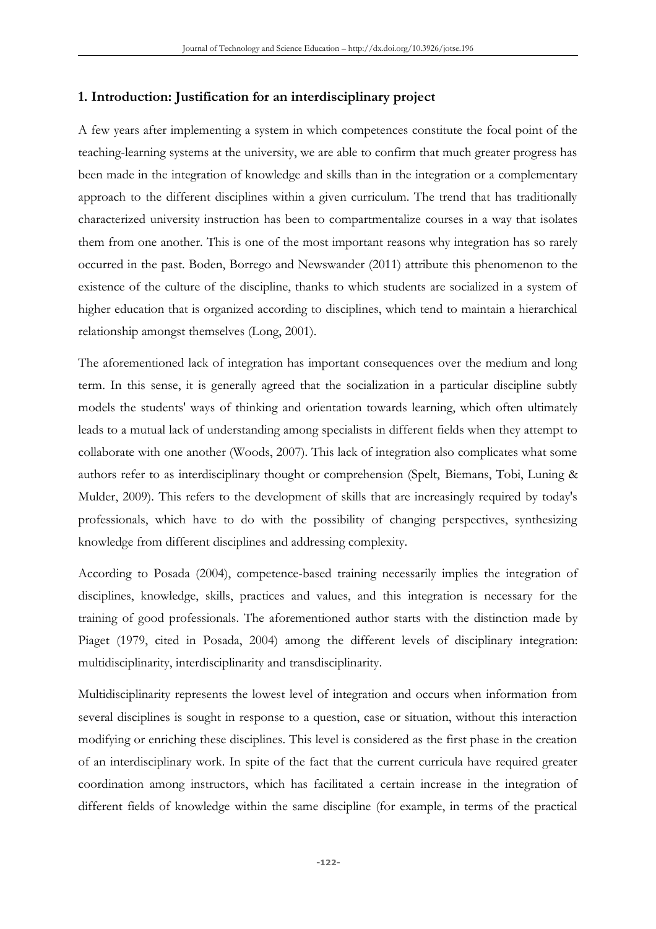## **1. Introduction: Justification for an interdisciplinary project**

A few years after implementing a system in which competences constitute the focal point of the teaching-learning systems at the university, we are able to confirm that much greater progress has been made in the integration of knowledge and skills than in the integration or a complementary approach to the different disciplines within a given curriculum. The trend that has traditionally characterized university instruction has been to compartmentalize courses in a way that isolates them from one another. This is one of the most important reasons why integration has so rarely occurred in the past. Boden, Borrego and Newswander (2011) attribute this phenomenon to the existence of the culture of the discipline, thanks to which students are socialized in a system of higher education that is organized according to disciplines, which tend to maintain a hierarchical relationship amongst themselves (Long, 2001).

The aforementioned lack of integration has important consequences over the medium and long term. In this sense, it is generally agreed that the socialization in a particular discipline subtly models the students' ways of thinking and orientation towards learning, which often ultimately leads to a mutual lack of understanding among specialists in different fields when they attempt to collaborate with one another (Woods, 2007). This lack of integration also complicates what some authors refer to as interdisciplinary thought or comprehension (Spelt, Biemans, Tobi, Luning & Mulder, 2009). This refers to the development of skills that are increasingly required by today's professionals, which have to do with the possibility of changing perspectives, synthesizing knowledge from different disciplines and addressing complexity.

According to Posada (2004), competence-based training necessarily implies the integration of disciplines, knowledge, skills, practices and values, and this integration is necessary for the training of good professionals. The aforementioned author starts with the distinction made by Piaget (1979, cited in Posada, 2004) among the different levels of disciplinary integration: multidisciplinarity, interdisciplinarity and transdisciplinarity.

Multidisciplinarity represents the lowest level of integration and occurs when information from several disciplines is sought in response to a question, case or situation, without this interaction modifying or enriching these disciplines. This level is considered as the first phase in the creation of an interdisciplinary work. In spite of the fact that the current curricula have required greater coordination among instructors, which has facilitated a certain increase in the integration of different fields of knowledge within the same discipline (for example, in terms of the practical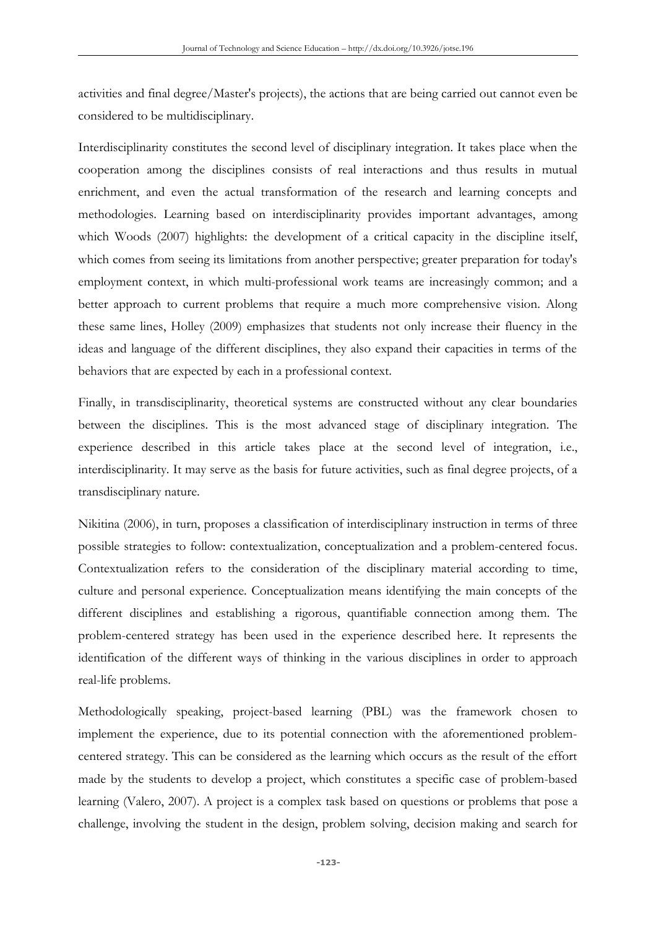activities and final degree/Master's projects), the actions that are being carried out cannot even be considered to be multidisciplinary.

Interdisciplinarity constitutes the second level of disciplinary integration. It takes place when the cooperation among the disciplines consists of real interactions and thus results in mutual enrichment, and even the actual transformation of the research and learning concepts and methodologies. Learning based on interdisciplinarity provides important advantages, among which Woods (2007) highlights: the development of a critical capacity in the discipline itself, which comes from seeing its limitations from another perspective; greater preparation for today's employment context, in which multi-professional work teams are increasingly common; and a better approach to current problems that require a much more comprehensive vision. Along these same lines, Holley (2009) emphasizes that students not only increase their fluency in the ideas and language of the different disciplines, they also expand their capacities in terms of the behaviors that are expected by each in a professional context.

Finally, in transdisciplinarity, theoretical systems are constructed without any clear boundaries between the disciplines. This is the most advanced stage of disciplinary integration. The experience described in this article takes place at the second level of integration, i.e., interdisciplinarity. It may serve as the basis for future activities, such as final degree projects, of a transdisciplinary nature.

Nikitina (2006), in turn, proposes a classification of interdisciplinary instruction in terms of three possible strategies to follow: contextualization, conceptualization and a problem-centered focus. Contextualization refers to the consideration of the disciplinary material according to time, culture and personal experience. Conceptualization means identifying the main concepts of the different disciplines and establishing a rigorous, quantifiable connection among them. The problem-centered strategy has been used in the experience described here. It represents the identification of the different ways of thinking in the various disciplines in order to approach real-life problems.

Methodologically speaking, project-based learning (PBL) was the framework chosen to implement the experience, due to its potential connection with the aforementioned problemcentered strategy. This can be considered as the learning which occurs as the result of the effort made by the students to develop a project, which constitutes a specific case of problem-based learning (Valero, 2007). A project is a complex task based on questions or problems that pose a challenge, involving the student in the design, problem solving, decision making and search for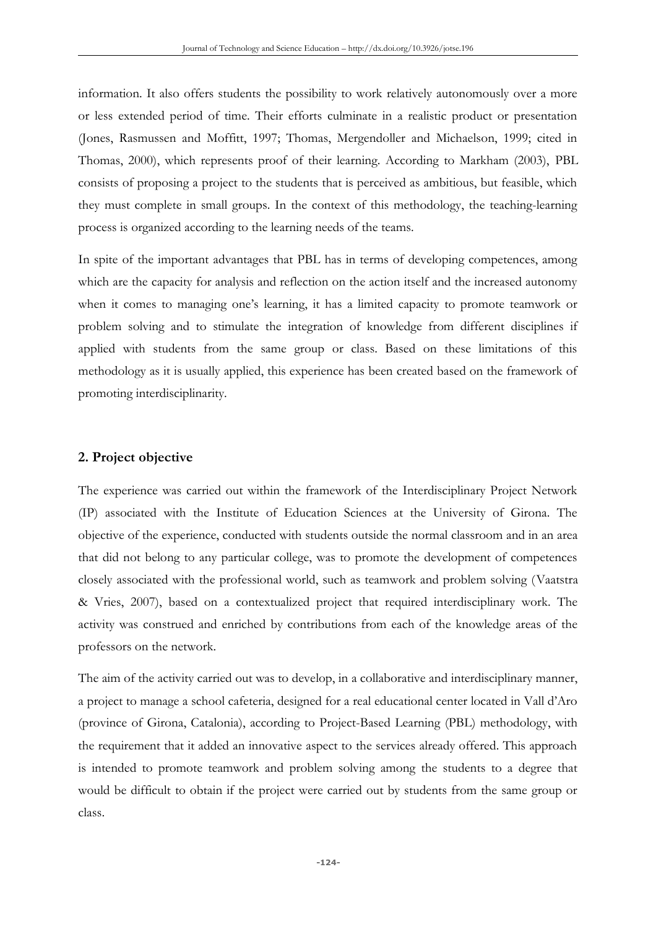information. It also offers students the possibility to work relatively autonomously over a more or less extended period of time. Their efforts culminate in a realistic product or presentation (Jones, Rasmussen and Moffitt, 1997; Thomas, Mergendoller and Michaelson, 1999; cited in Thomas, 2000), which represents proof of their learning. According to Markham (2003), PBL consists of proposing a project to the students that is perceived as ambitious, but feasible, which they must complete in small groups. In the context of this methodology, the teaching-learning process is organized according to the learning needs of the teams.

In spite of the important advantages that PBL has in terms of developing competences, among which are the capacity for analysis and reflection on the action itself and the increased autonomy when it comes to managing one's learning, it has a limited capacity to promote teamwork or problem solving and to stimulate the integration of knowledge from different disciplines if applied with students from the same group or class. Based on these limitations of this methodology as it is usually applied, this experience has been created based on the framework of promoting interdisciplinarity.

### **2. Project objective**

The experience was carried out within the framework of the Interdisciplinary Project Network (IP) associated with the Institute of Education Sciences at the University of Girona. The objective of the experience, conducted with students outside the normal classroom and in an area that did not belong to any particular college, was to promote the development of competences closely associated with the professional world, such as teamwork and problem solving (Vaatstra & Vries, 2007), based on a contextualized project that required interdisciplinary work. The activity was construed and enriched by contributions from each of the knowledge areas of the professors on the network.

The aim of the activity carried out was to develop, in a collaborative and interdisciplinary manner, a project to manage a school cafeteria, designed for a real educational center located in Vall d'Aro (province of Girona, Catalonia), according to Project-Based Learning (PBL) methodology, with the requirement that it added an innovative aspect to the services already offered. This approach is intended to promote teamwork and problem solving among the students to a degree that would be difficult to obtain if the project were carried out by students from the same group or class.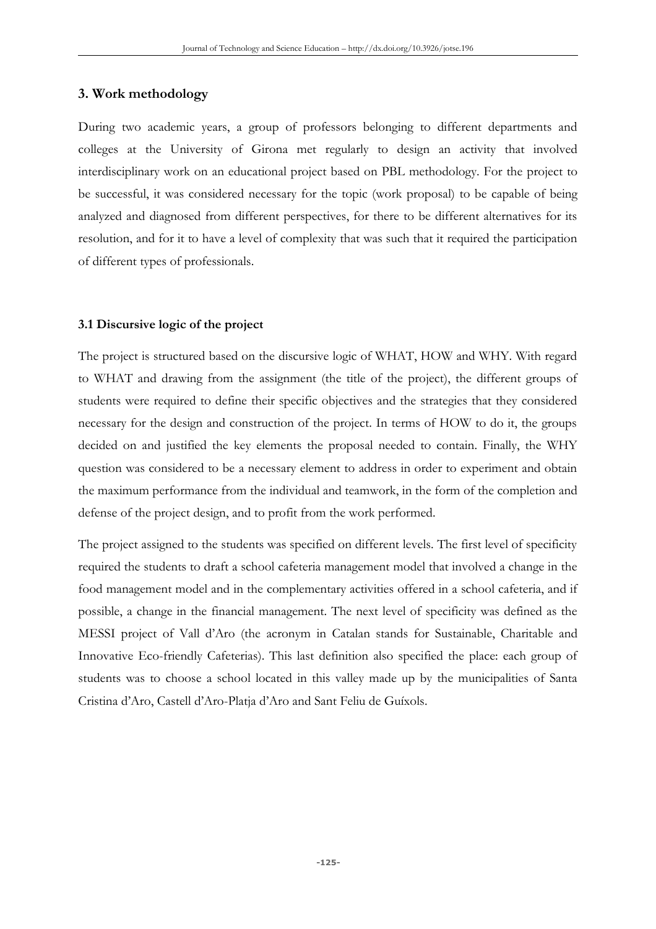## **3. Work methodology**

During two academic years, a group of professors belonging to different departments and colleges at the University of Girona met regularly to design an activity that involved interdisciplinary work on an educational project based on PBL methodology. For the project to be successful, it was considered necessary for the topic (work proposal) to be capable of being analyzed and diagnosed from different perspectives, for there to be different alternatives for its resolution, and for it to have a level of complexity that was such that it required the participation of different types of professionals.

## **3.1 Discursive logic of the project**

The project is structured based on the discursive logic of WHAT, HOW and WHY. With regard to WHAT and drawing from the assignment (the title of the project), the different groups of students were required to define their specific objectives and the strategies that they considered necessary for the design and construction of the project. In terms of HOW to do it, the groups decided on and justified the key elements the proposal needed to contain. Finally, the WHY question was considered to be a necessary element to address in order to experiment and obtain the maximum performance from the individual and teamwork, in the form of the completion and defense of the project design, and to profit from the work performed.

The project assigned to the students was specified on different levels. The first level of specificity required the students to draft a school cafeteria management model that involved a change in the food management model and in the complementary activities offered in a school cafeteria, and if possible, a change in the financial management. The next level of specificity was defined as the MESSI project of Vall d'Aro (the acronym in Catalan stands for Sustainable, Charitable and Innovative Eco-friendly Cafeterias). This last definition also specified the place: each group of students was to choose a school located in this valley made up by the municipalities of Santa Cristina d'Aro, Castell d'Aro-Platja d'Aro and Sant Feliu de Guíxols.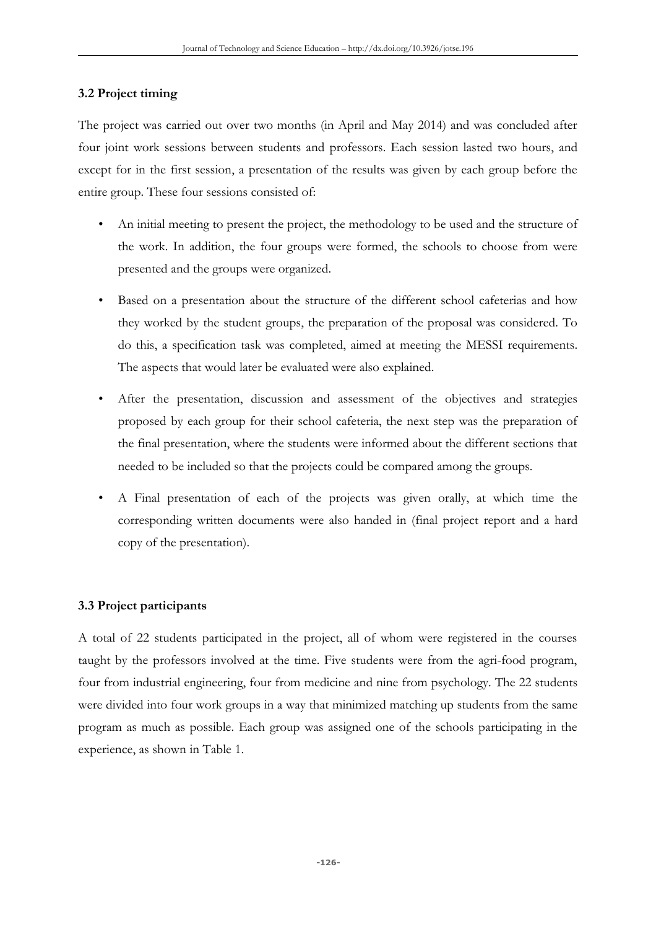## **3.2 Project timing**

The project was carried out over two months (in April and May 2014) and was concluded after four joint work sessions between students and professors. Each session lasted two hours, and except for in the first session, a presentation of the results was given by each group before the entire group. These four sessions consisted of:

- An initial meeting to present the project, the methodology to be used and the structure of the work. In addition, the four groups were formed, the schools to choose from were presented and the groups were organized.
- Based on a presentation about the structure of the different school cafeterias and how they worked by the student groups, the preparation of the proposal was considered. To do this, a specification task was completed, aimed at meeting the MESSI requirements. The aspects that would later be evaluated were also explained.
- After the presentation, discussion and assessment of the objectives and strategies proposed by each group for their school cafeteria, the next step was the preparation of the final presentation, where the students were informed about the different sections that needed to be included so that the projects could be compared among the groups.
- A Final presentation of each of the projects was given orally, at which time the corresponding written documents were also handed in (final project report and a hard copy of the presentation).

## **3.3 Project participants**

A total of 22 students participated in the project, all of whom were registered in the courses taught by the professors involved at the time. Five students were from the agri-food program, four from industrial engineering, four from medicine and nine from psychology. The 22 students were divided into four work groups in a way that minimized matching up students from the same program as much as possible. Each group was assigned one of the schools participating in the experience, as shown in Table 1.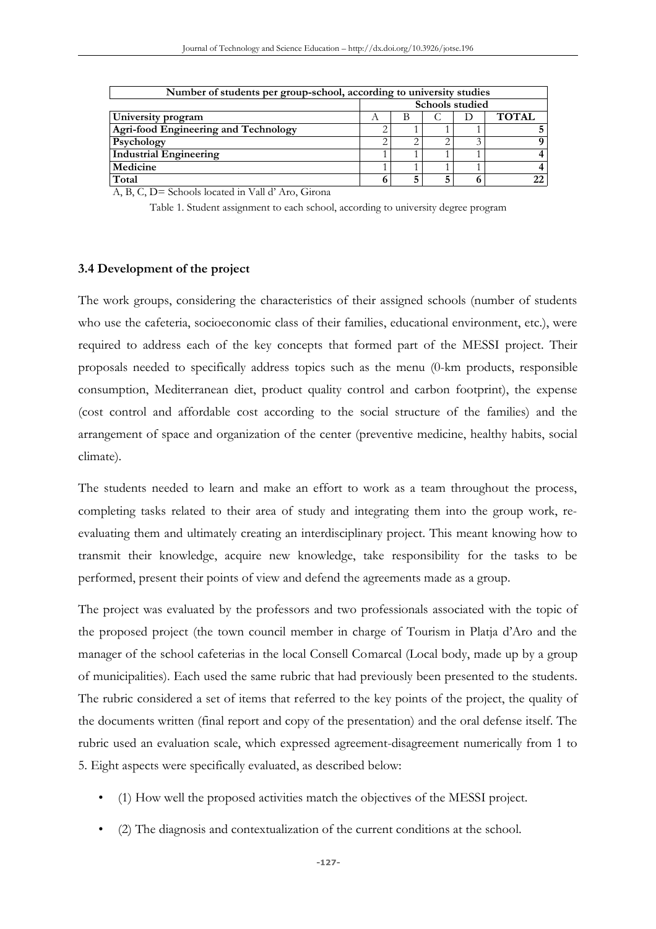| Number of students per group-school, according to university studies |                 |   |  |  |              |  |  |  |  |  |
|----------------------------------------------------------------------|-----------------|---|--|--|--------------|--|--|--|--|--|
|                                                                      | Schools studied |   |  |  |              |  |  |  |  |  |
| University program                                                   |                 |   |  |  | <b>TOTAL</b> |  |  |  |  |  |
| Agri-food Engineering and Technology                                 |                 |   |  |  |              |  |  |  |  |  |
| Psychology                                                           |                 | ◠ |  |  |              |  |  |  |  |  |
| <b>Industrial Engineering</b>                                        |                 |   |  |  |              |  |  |  |  |  |
| Medicine                                                             |                 |   |  |  |              |  |  |  |  |  |
| Total                                                                |                 |   |  |  |              |  |  |  |  |  |

A, B, C, D= Schools located in Vall d' Aro, Girona

Table 1. Student assignment to each school, according to university degree program

#### **3.4 Development of the project**

The work groups, considering the characteristics of their assigned schools (number of students who use the cafeteria, socioeconomic class of their families, educational environment, etc.), were required to address each of the key concepts that formed part of the MESSI project. Their proposals needed to specifically address topics such as the menu (0-km products, responsible consumption, Mediterranean diet, product quality control and carbon footprint), the expense (cost control and affordable cost according to the social structure of the families) and the arrangement of space and organization of the center (preventive medicine, healthy habits, social climate).

The students needed to learn and make an effort to work as a team throughout the process, completing tasks related to their area of study and integrating them into the group work, reevaluating them and ultimately creating an interdisciplinary project. This meant knowing how to transmit their knowledge, acquire new knowledge, take responsibility for the tasks to be performed, present their points of view and defend the agreements made as a group.

The project was evaluated by the professors and two professionals associated with the topic of the proposed project (the town council member in charge of Tourism in Platja d'Aro and the manager of the school cafeterias in the local Consell Comarcal (Local body, made up by a group of municipalities). Each used the same rubric that had previously been presented to the students. The rubric considered a set of items that referred to the key points of the project, the quality of the documents written (final report and copy of the presentation) and the oral defense itself. The rubric used an evaluation scale, which expressed agreement-disagreement numerically from 1 to 5. Eight aspects were specifically evaluated, as described below:

- (1) How well the proposed activities match the objectives of the MESSI project.
- (2) The diagnosis and contextualization of the current conditions at the school.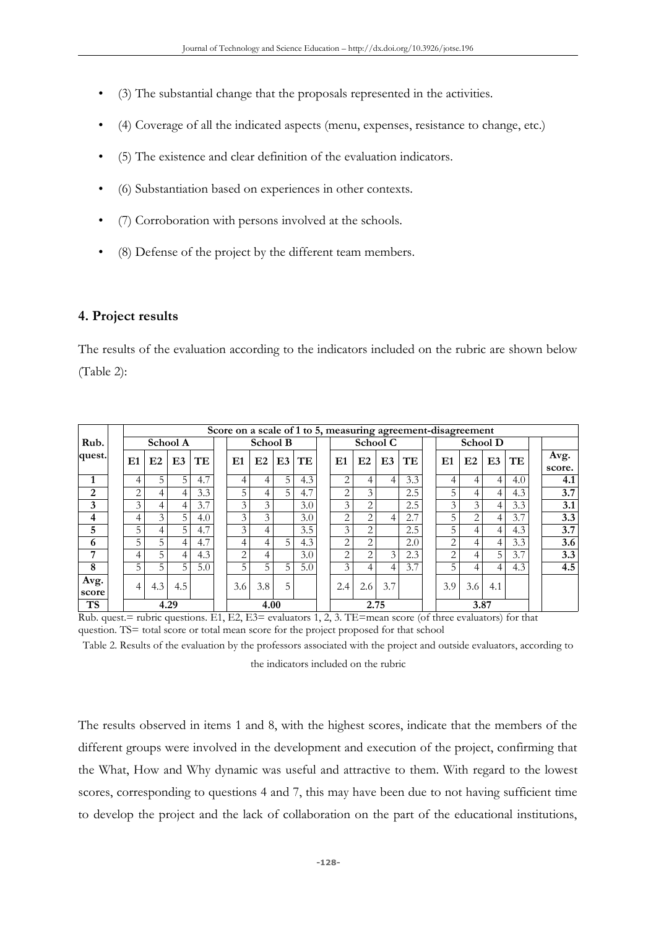- (3) The substantial change that the proposals represented in the activities.
- (4) Coverage of all the indicated aspects (menu, expenses, resistance to change, etc.)
- (5) The existence and clear definition of the evaluation indicators.
- (6) Substantiation based on experiences in other contexts.
- (7) Corroboration with persons involved at the schools.
- (8) Defense of the project by the different team members.

## **4. Project results**

The results of the evaluation according to the indicators included on the rubric are shown below (Table 2):

|               |  | Score on a scale of 1 to 5, measuring agreement-disagreement |     |          |     |  |                |     |    |     |  |                |                |                |     |  |                |     |     |     |                |
|---------------|--|--------------------------------------------------------------|-----|----------|-----|--|----------------|-----|----|-----|--|----------------|----------------|----------------|-----|--|----------------|-----|-----|-----|----------------|
| Rub.          |  |                                                              |     | School A |     |  | School B       |     |    |     |  | School C       |                |                |     |  | School D       |     |     |     |                |
| quest.        |  | E1                                                           | E2  | E3       | TE  |  | E1             | E2  | E3 | TE  |  | E1             | E2             | E3             | TE  |  | E1             | E2  | E3  | TE  | Avg.<br>score. |
| 1             |  | 4                                                            | 5   | 5.       | 4.7 |  | 4              | 4   | 5  | 4.3 |  | $\overline{2}$ | 4              | $\overline{4}$ | 3.3 |  | 4              | 4   | 4   | 4.0 | 4.1            |
| 2             |  | 2                                                            | 4   | 4        | 3.3 |  | 5              | 4   | 5  | 4.7 |  | $\overline{2}$ | 3              |                | 2.5 |  | 5              | 4   | 4   | 4.3 | 3.7            |
| 3             |  | 3                                                            | 4   |          | 3.7 |  | 3              | 3   |    | 3.0 |  | 3              | 2              |                | 2.5 |  | 3              | 3   | 4   | 3.3 | 3.1            |
| 4             |  | 4                                                            | 3   | 5.       | 4.0 |  | 3              | 3   |    | 3.0 |  | $\overline{2}$ | 2              | $\overline{4}$ | 2.7 |  | 5              | ◠   | 4   | 3.7 | 3.3            |
| 5             |  | 5                                                            | 4   | 5.       | 4.7 |  | 3              | 4   |    | 3.5 |  | 3              | $\overline{2}$ |                | 2.5 |  | 5              | 4   | 4   | 4.3 | 3.7            |
| 6             |  | 5                                                            | 5   | 4        | 4.7 |  | 4              | 4   | 5  | 4.3 |  | $\overline{2}$ | 2              |                | 2.0 |  | 2              | 4   | 4   | 3.3 | 3.6            |
| 7             |  | 4                                                            | 5   | 4        | 4.3 |  | $\overline{2}$ | 4   |    | 3.0 |  | 2              | 2              | 3              | 2.3 |  | $\overline{2}$ | 4   | 5.  | 3.7 | 3.3            |
| 8             |  | 5.                                                           | 5   | 5.       | 5.0 |  | 5              | 5   | 5  | 5.0 |  | 3              | 4              | $\overline{4}$ | 3.7 |  | 5              | 4   | 4   | 4.3 | 4.5            |
| Avg.<br>score |  | 4                                                            | 4.3 | 4.5      |     |  | 3.6            | 3.8 | 5  |     |  | 2.4            | 2.6            | 3.7            |     |  | 3.9            | 3.6 | 4.1 |     |                |
| <b>TS</b>     |  | 4.29                                                         |     |          |     |  | 4.00           |     |    |     |  | 2.75           |                |                |     |  | 3.87           |     |     |     |                |

Rub. quest.= rubric questions. E1, E2, E3= evaluators 1, 2, 3. TE=mean score (of three evaluators) for that question. TS= total score or total mean score for the project proposed for that school

Table 2. Results of the evaluation by the professors associated with the project and outside evaluators, according to the indicators included on the rubric

The results observed in items 1 and 8, with the highest scores, indicate that the members of the different groups were involved in the development and execution of the project, confirming that the What, How and Why dynamic was useful and attractive to them. With regard to the lowest scores, corresponding to questions 4 and 7, this may have been due to not having sufficient time to develop the project and the lack of collaboration on the part of the educational institutions,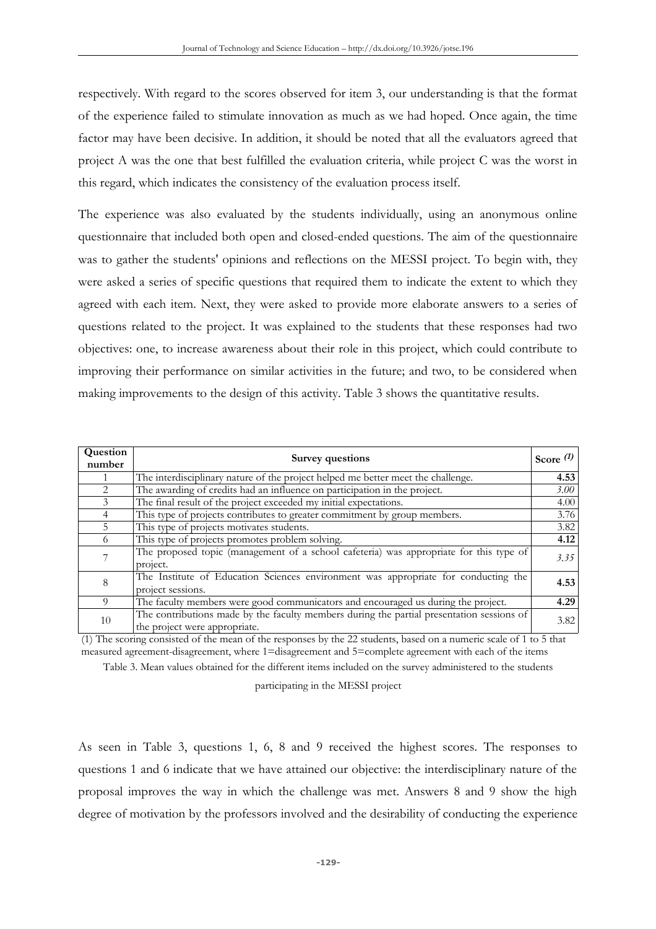respectively. With regard to the scores observed for item 3, our understanding is that the format of the experience failed to stimulate innovation as much as we had hoped. Once again, the time factor may have been decisive. In addition, it should be noted that all the evaluators agreed that project A was the one that best fulfilled the evaluation criteria, while project C was the worst in this regard, which indicates the consistency of the evaluation process itself.

The experience was also evaluated by the students individually, using an anonymous online questionnaire that included both open and closed-ended questions. The aim of the questionnaire was to gather the students' opinions and reflections on the MESSI project. To begin with, they were asked a series of specific questions that required them to indicate the extent to which they agreed with each item. Next, they were asked to provide more elaborate answers to a series of questions related to the project. It was explained to the students that these responses had two objectives: one, to increase awareness about their role in this project, which could contribute to improving their performance on similar activities in the future; and two, to be considered when making improvements to the design of this activity. Table 3 shows the quantitative results.

| Question<br>number            | <b>Survey questions</b>                                                                                                    |      |  |  |  |  |  |
|-------------------------------|----------------------------------------------------------------------------------------------------------------------------|------|--|--|--|--|--|
|                               | The interdisciplinary nature of the project helped me better meet the challenge.                                           | 4.53 |  |  |  |  |  |
| $\mathfrak{D}_{\mathfrak{p}}$ | The awarding of credits had an influence on participation in the project.                                                  | 3.00 |  |  |  |  |  |
| $\mathcal{E}$                 | The final result of the project exceeded my initial expectations.                                                          | 4.00 |  |  |  |  |  |
| 4                             | This type of projects contributes to greater commitment by group members.                                                  | 3.76 |  |  |  |  |  |
| 5                             | This type of projects motivates students.                                                                                  | 3.82 |  |  |  |  |  |
| 6                             | This type of projects promotes problem solving.                                                                            | 4.12 |  |  |  |  |  |
|                               | The proposed topic (management of a school cafeteria) was appropriate for this type of<br>project.                         | 3.35 |  |  |  |  |  |
| 8                             | The Institute of Education Sciences environment was appropriate for conducting the<br>project sessions.                    | 4.53 |  |  |  |  |  |
| 9                             | The faculty members were good communicators and encouraged us during the project.                                          | 4.29 |  |  |  |  |  |
| 10                            | The contributions made by the faculty members during the partial presentation sessions of<br>the project were appropriate. | 3.82 |  |  |  |  |  |

(1) The scoring consisted of the mean of the responses by the 22 students, based on a numeric scale of 1 to 5 that measured agreement-disagreement, where 1=disagreement and 5=complete agreement with each of the items

Table 3. Mean values obtained for the different items included on the survey administered to the students

participating in the MESSI project

As seen in Table 3, questions 1, 6, 8 and 9 received the highest scores. The responses to questions 1 and 6 indicate that we have attained our objective: the interdisciplinary nature of the proposal improves the way in which the challenge was met. Answers 8 and 9 show the high degree of motivation by the professors involved and the desirability of conducting the experience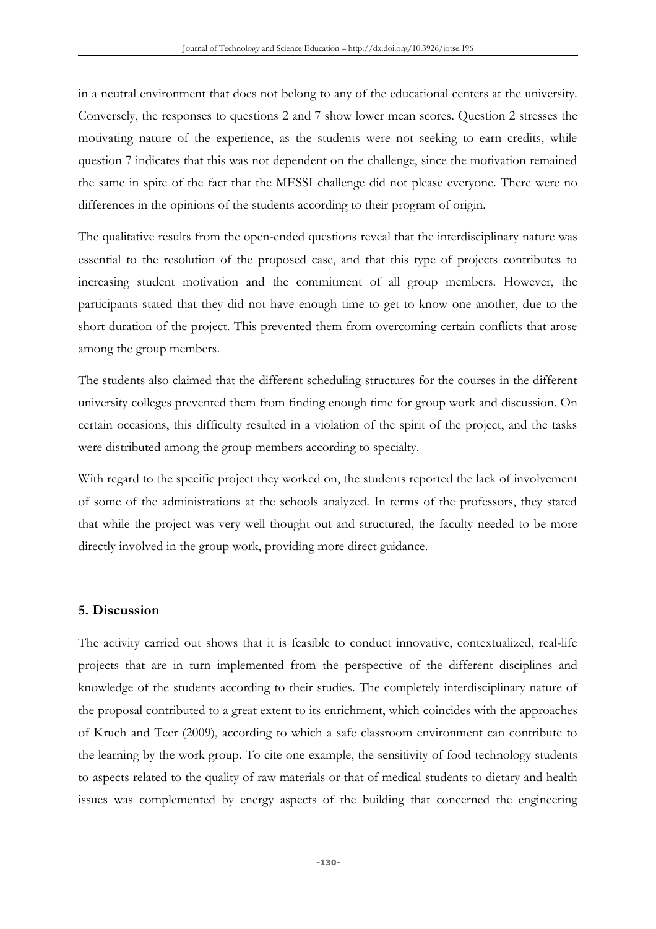in a neutral environment that does not belong to any of the educational centers at the university. Conversely, the responses to questions 2 and 7 show lower mean scores. Question 2 stresses the motivating nature of the experience, as the students were not seeking to earn credits, while question 7 indicates that this was not dependent on the challenge, since the motivation remained the same in spite of the fact that the MESSI challenge did not please everyone. There were no differences in the opinions of the students according to their program of origin.

The qualitative results from the open-ended questions reveal that the interdisciplinary nature was essential to the resolution of the proposed case, and that this type of projects contributes to increasing student motivation and the commitment of all group members. However, the participants stated that they did not have enough time to get to know one another, due to the short duration of the project. This prevented them from overcoming certain conflicts that arose among the group members.

The students also claimed that the different scheduling structures for the courses in the different university colleges prevented them from finding enough time for group work and discussion. On certain occasions, this difficulty resulted in a violation of the spirit of the project, and the tasks were distributed among the group members according to specialty.

With regard to the specific project they worked on, the students reported the lack of involvement of some of the administrations at the schools analyzed. In terms of the professors, they stated that while the project was very well thought out and structured, the faculty needed to be more directly involved in the group work, providing more direct guidance.

## **5. Discussion**

The activity carried out shows that it is feasible to conduct innovative, contextualized, real-life projects that are in turn implemented from the perspective of the different disciplines and knowledge of the students according to their studies. The completely interdisciplinary nature of the proposal contributed to a great extent to its enrichment, which coincides with the approaches of Kruch and Teer (2009), according to which a safe classroom environment can contribute to the learning by the work group. To cite one example, the sensitivity of food technology students to aspects related to the quality of raw materials or that of medical students to dietary and health issues was complemented by energy aspects of the building that concerned the engineering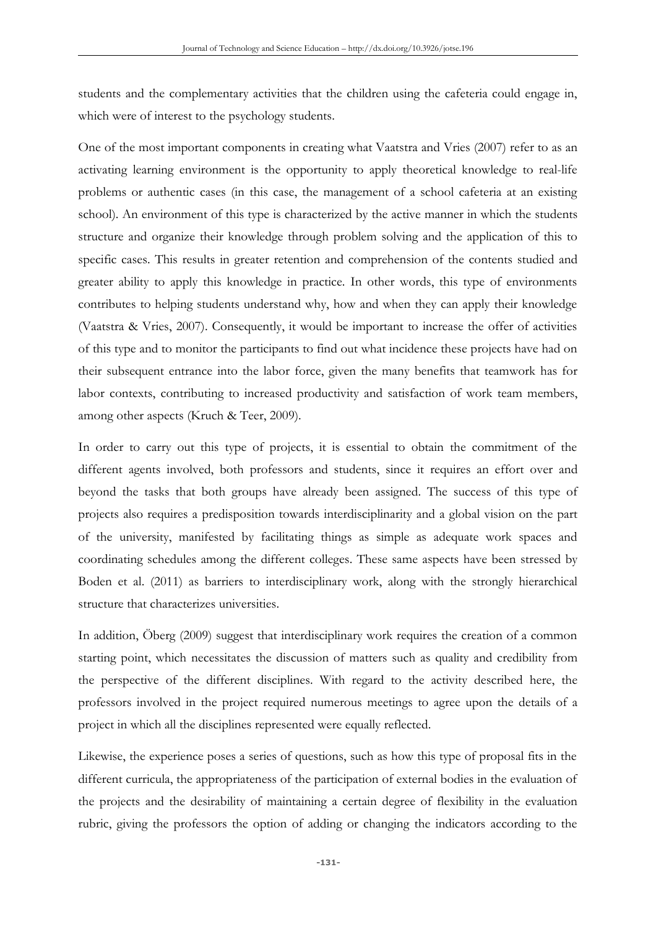students and the complementary activities that the children using the cafeteria could engage in, which were of interest to the psychology students.

One of the most important components in creating what Vaatstra and Vries (2007) refer to as an activating learning environment is the opportunity to apply theoretical knowledge to real-life problems or authentic cases (in this case, the management of a school cafeteria at an existing school). An environment of this type is characterized by the active manner in which the students structure and organize their knowledge through problem solving and the application of this to specific cases. This results in greater retention and comprehension of the contents studied and greater ability to apply this knowledge in practice. In other words, this type of environments contributes to helping students understand why, how and when they can apply their knowledge (Vaatstra & Vries, 2007). Consequently, it would be important to increase the offer of activities of this type and to monitor the participants to find out what incidence these projects have had on their subsequent entrance into the labor force, given the many benefits that teamwork has for labor contexts, contributing to increased productivity and satisfaction of work team members, among other aspects (Kruch & Teer, 2009).

In order to carry out this type of projects, it is essential to obtain the commitment of the different agents involved, both professors and students, since it requires an effort over and beyond the tasks that both groups have already been assigned. The success of this type of projects also requires a predisposition towards interdisciplinarity and a global vision on the part of the university, manifested by facilitating things as simple as adequate work spaces and coordinating schedules among the different colleges. These same aspects have been stressed by Boden et al. (2011) as barriers to interdisciplinary work, along with the strongly hierarchical structure that characterizes universities.

In addition, Öberg (2009) suggest that interdisciplinary work requires the creation of a common starting point, which necessitates the discussion of matters such as quality and credibility from the perspective of the different disciplines. With regard to the activity described here, the professors involved in the project required numerous meetings to agree upon the details of a project in which all the disciplines represented were equally reflected.

Likewise, the experience poses a series of questions, such as how this type of proposal fits in the different curricula, the appropriateness of the participation of external bodies in the evaluation of the projects and the desirability of maintaining a certain degree of flexibility in the evaluation rubric, giving the professors the option of adding or changing the indicators according to the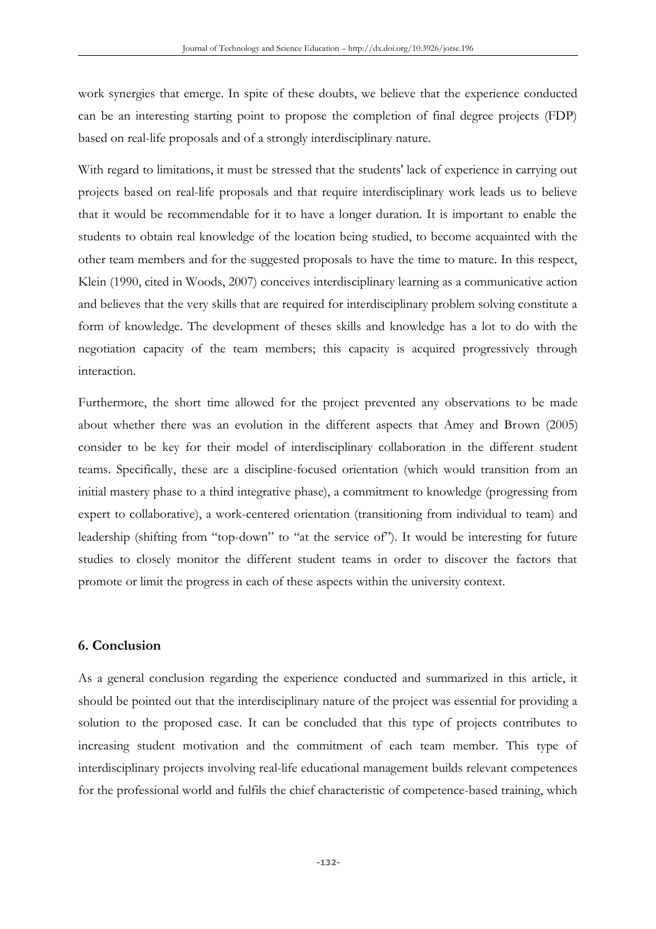work synergies that emerge. In spite of these doubts, we believe that the experience conducted can be an interesting starting point to propose the completion of final degree projects (FDP) based on real-life proposals and of a strongly interdisciplinary nature.

With regard to limitations, it must be stressed that the students' lack of experience in carrying out projects based on real-life proposals and that require interdisciplinary work leads us to believe that it would be recommendable for it to have a longer duration. It is important to enable the students to obtain real knowledge of the location being studied, to become acquainted with the other team members and for the suggested proposals to have the time to mature. In this respect, Klein (1990, cited in Woods, 2007) conceives interdisciplinary learning as a communicative action and believes that the very skills that are required for interdisciplinary problem solving constitute a form of knowledge. The development of theses skills and knowledge has a lot to do with the negotiation capacity of the team members; this capacity is acquired progressively through interaction.

Furthermore, the short time allowed for the project prevented any observations to be made about whether there was an evolution in the different aspects that Amey and Brown (2005) consider to be key for their model of interdisciplinary collaboration in the different student teams. Specifically, these are a discipline-focused orientation (which would transition from an initial mastery phase to a third integrative phase), a commitment to knowledge (progressing from expert to collaborative), a work-centered orientation (transitioning from individual to team) and leadership (shifting from "top-down" to "at the service of"). It would be interesting for future studies to closely monitor the different student teams in order to discover the factors that promote or limit the progress in each of these aspects within the university context.

## **6. Conclusion**

As a general conclusion regarding the experience conducted and summarized in this article, it should be pointed out that the interdisciplinary nature of the project was essential for providing a solution to the proposed case. It can be concluded that this type of projects contributes to increasing student motivation and the commitment of each team member. This type of interdisciplinary projects involving real-life educational management builds relevant competences for the professional world and fulfils the chief characteristic of competence-based training, which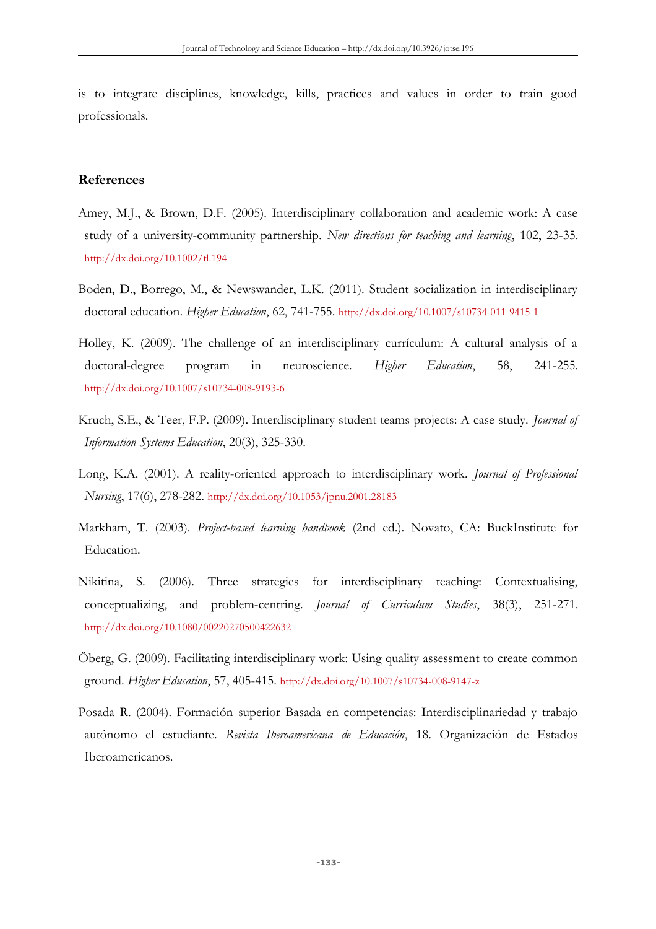is to integrate disciplines, knowledge, kills, practices and values in order to train good professionals.

## **References**

- Amey, M.J., & Brown, D.F. (2005). Interdisciplinary collaboration and academic work: A case study of a university-community partnership. *New directions for teaching and learning*, 102, 23-35. <http://dx.doi.org/10.1002/tl.194>
- Boden, D., Borrego, M., & Newswander, L.K. (2011). Student socialization in interdisciplinary doctoral education. *Higher Education*, 62, 741-755. <http://dx.doi.org/10.1007/s10734-011-9415-1>
- Holley, K. (2009). The challenge of an interdisciplinary currículum: A cultural analysis of a doctoral-degree program in neuroscience. *Higher Education*, 58, 241-255. <http://dx.doi.org/10.1007/s10734-008-9193-6>
- Kruch, S.E., & Teer, F.P. (2009). Interdisciplinary student teams projects: A case study. *Journal of Information Systems Education*, 20(3), 325-330.
- Long, K.A. (2001). A reality-oriented approach to interdisciplinary work. *Journal of Professional Nursing*, 17(6), 278-282. <http://dx.doi.org/10.1053/jpnu.2001.28183>
- Markham, T. (2003). *Project-based learning handbook* (2nd ed.). Novato, CA: BuckInstitute for Education.
- Nikitina, S. (2006). Three strategies for interdisciplinary teaching: Contextualising, conceptualizing, and problem-centring. *Journal of Curriculum Studies*, 38(3), 251-271. <http://dx.doi.org/10.1080/00220270500422632>
- Öberg, G. (2009). Facilitating interdisciplinary work: Using quality assessment to create common ground. *Higher Education*, 57, 405-415. <http://dx.doi.org/10.1007/s10734-008-9147-z>
- Posada R. (2004). Formación superior Basada en competencias: Interdisciplinariedad y trabajo autónomo el estudiante. *Revista Iberoamericana de Educación*, 18. Organización de Estados Iberoamericanos.